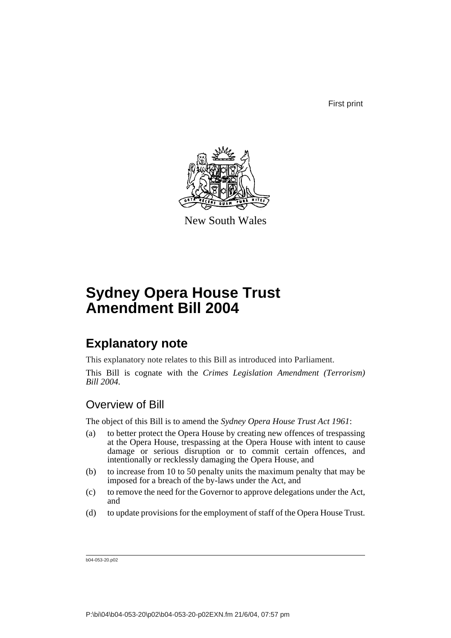First print



New South Wales

# **Sydney Opera House Trust Amendment Bill 2004**

# **Explanatory note**

This explanatory note relates to this Bill as introduced into Parliament.

This Bill is cognate with the *Crimes Legislation Amendment (Terrorism) Bill 2004.*

# Overview of Bill

The object of this Bill is to amend the *Sydney Opera House Trust Act 1961*:

- (a) to better protect the Opera House by creating new offences of trespassing at the Opera House, trespassing at the Opera House with intent to cause damage or serious disruption or to commit certain offences, and intentionally or recklessly damaging the Opera House, and
- (b) to increase from 10 to 50 penalty units the maximum penalty that may be imposed for a breach of the by-laws under the Act, and
- (c) to remove the need for the Governor to approve delegations under the Act, and
- (d) to update provisions for the employment of staff of the Opera House Trust.

b04-053-20.p02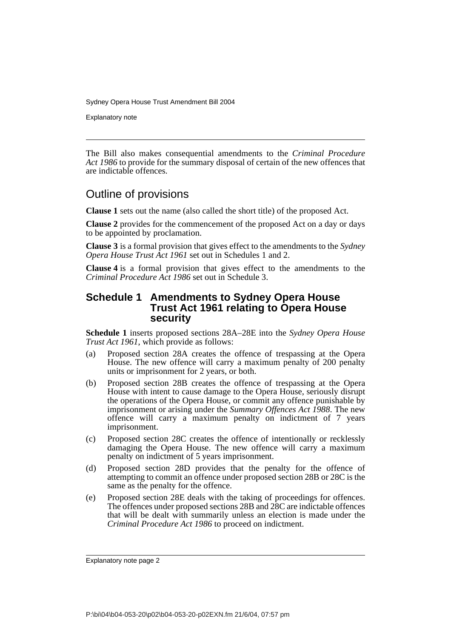Explanatory note

The Bill also makes consequential amendments to the *Criminal Procedure Act 1986* to provide for the summary disposal of certain of the new offences that are indictable offences.

# Outline of provisions

**Clause 1** sets out the name (also called the short title) of the proposed Act.

**Clause 2** provides for the commencement of the proposed Act on a day or days to be appointed by proclamation.

**Clause 3** is a formal provision that gives effect to the amendments to the *Sydney Opera House Trust Act 1961* set out in Schedules 1 and 2.

**Clause 4** is a formal provision that gives effect to the amendments to the *Criminal Procedure Act 1986* set out in Schedule 3.

## **Schedule 1 Amendments to Sydney Opera House Trust Act 1961 relating to Opera House security**

**Schedule 1** inserts proposed sections 28A–28E into the *Sydney Opera House Trust Act 1961*, which provide as follows:

- (a) Proposed section 28A creates the offence of trespassing at the Opera House. The new offence will carry a maximum penalty of 200 penalty units or imprisonment for 2 years, or both.
- (b) Proposed section 28B creates the offence of trespassing at the Opera House with intent to cause damage to the Opera House, seriously disrupt the operations of the Opera House, or commit any offence punishable by imprisonment or arising under the *Summary Offences Act 1988*. The new offence will carry a maximum penalty on indictment of 7 years imprisonment.
- (c) Proposed section 28C creates the offence of intentionally or recklessly damaging the Opera House. The new offence will carry a maximum penalty on indictment of 5 years imprisonment.
- (d) Proposed section 28D provides that the penalty for the offence of attempting to commit an offence under proposed section 28B or 28C is the same as the penalty for the offence.
- (e) Proposed section 28E deals with the taking of proceedings for offences. The offences under proposed sections 28B and 28C are indictable offences that will be dealt with summarily unless an election is made under the *Criminal Procedure Act 1986* to proceed on indictment.

Explanatory note page 2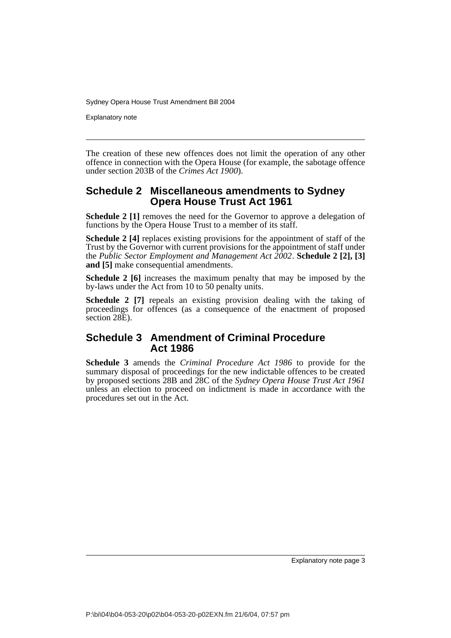Explanatory note

The creation of these new offences does not limit the operation of any other offence in connection with the Opera House (for example, the sabotage offence under section 203B of the *Crimes Act 1900*).

### **Schedule 2 Miscellaneous amendments to Sydney Opera House Trust Act 1961**

**Schedule 2 [1]** removes the need for the Governor to approve a delegation of functions by the Opera House Trust to a member of its staff.

**Schedule 2** [4] replaces existing provisions for the appointment of staff of the Trust by the Governor with current provisions for the appointment of staff under the *Public Sector Employment and Management Act 2002*. **Schedule 2 [2], [3] and [5]** make consequential amendments.

**Schedule 2 [6]** increases the maximum penalty that may be imposed by the by-laws under the Act from 10 to 50 penalty units.

**Schedule 2 [7]** repeals an existing provision dealing with the taking of proceedings for offences (as a consequence of the enactment of proposed section 28E).

## **Schedule 3 Amendment of Criminal Procedure Act 1986**

**Schedule 3** amends the *Criminal Procedure Act 1986* to provide for the summary disposal of proceedings for the new indictable offences to be created by proposed sections 28B and 28C of the *Sydney Opera House Trust Act 1961* unless an election to proceed on indictment is made in accordance with the procedures set out in the Act.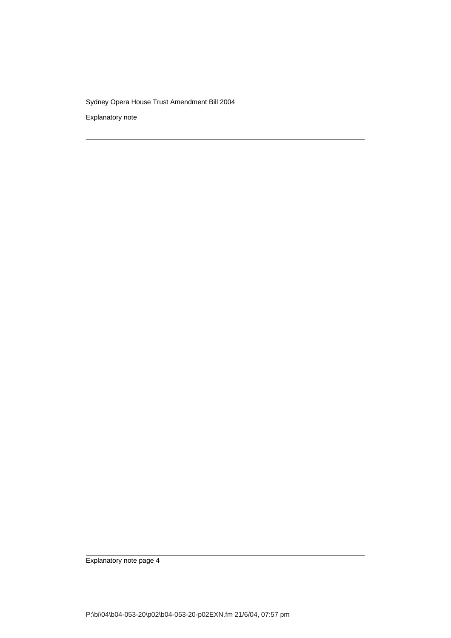Explanatory note

Explanatory note page 4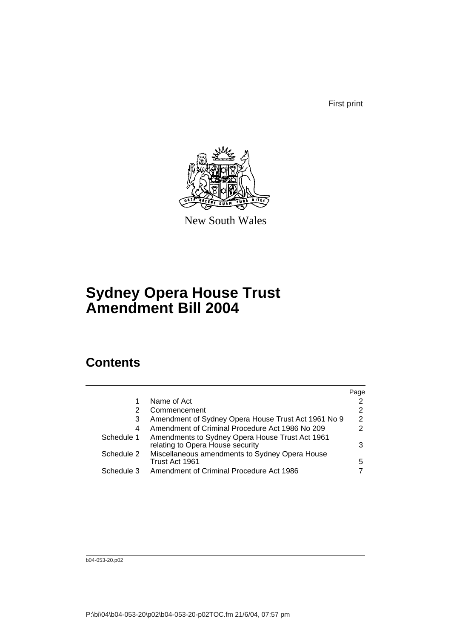First print



New South Wales

# **Sydney Opera House Trust Amendment Bill 2004**

# **Contents**

|            |                                                                                     | Page          |
|------------|-------------------------------------------------------------------------------------|---------------|
| 1          | Name of Act                                                                         |               |
| 2          | Commencement                                                                        | 2             |
| 3          | Amendment of Sydney Opera House Trust Act 1961 No 9                                 | $\mathcal{P}$ |
| 4          | Amendment of Criminal Procedure Act 1986 No 209                                     | $\mathcal{P}$ |
| Schedule 1 | Amendments to Sydney Opera House Trust Act 1961<br>relating to Opera House security | 3             |
| Schedule 2 | Miscellaneous amendments to Sydney Opera House<br>Trust Act 1961                    | 5             |
| Schedule 3 | Amendment of Criminal Procedure Act 1986                                            |               |

b04-053-20.p02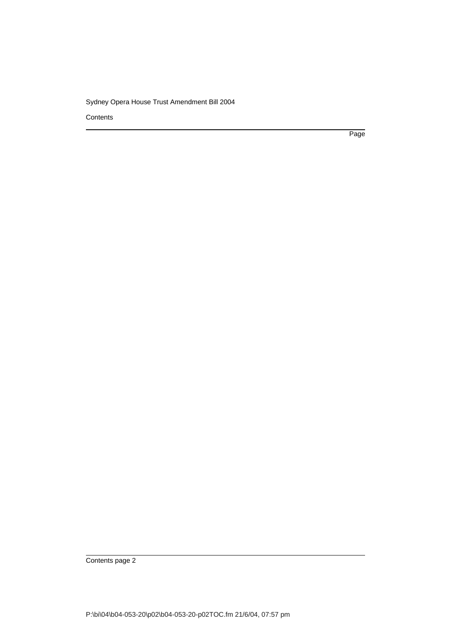**Contents** 

Page

Contents page 2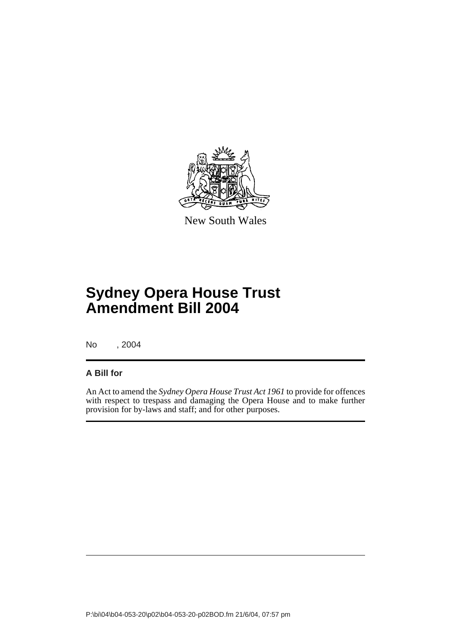

New South Wales

# **Sydney Opera House Trust Amendment Bill 2004**

No , 2004

### **A Bill for**

An Act to amend the *Sydney Opera House Trust Act 1961* to provide for offences with respect to trespass and damaging the Opera House and to make further provision for by-laws and staff; and for other purposes.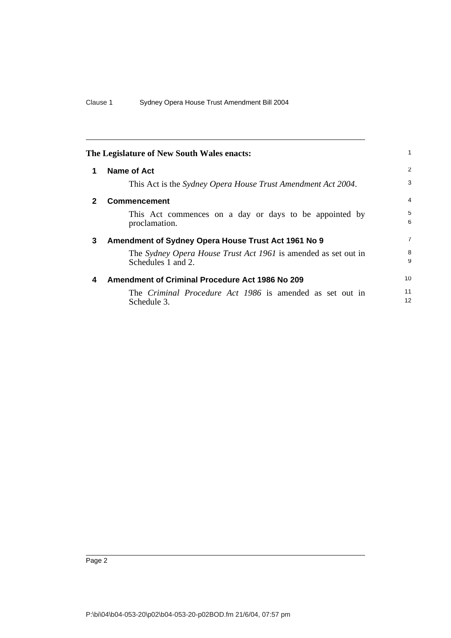| The Legislature of New South Wales enacts: |                                                                                      | 1        |
|--------------------------------------------|--------------------------------------------------------------------------------------|----------|
| 1                                          | Name of Act                                                                          | 2        |
|                                            | This Act is the Sydney Opera House Trust Amendment Act 2004.                         | 3        |
| $\mathbf{2}$                               | <b>Commencement</b>                                                                  | 4        |
|                                            | This Act commences on a day or days to be appointed by<br>proclamation.              | 5<br>6   |
| 3                                          | Amendment of Sydney Opera House Trust Act 1961 No 9                                  | 7        |
|                                            | The Sydney Opera House Trust Act 1961 is amended as set out in<br>Schedules 1 and 2. | 8<br>9   |
| 4                                          | Amendment of Criminal Procedure Act 1986 No 209                                      | 10       |
|                                            | The Criminal Procedure Act 1986 is amended as set out in<br>Schedule 3.              | 11<br>12 |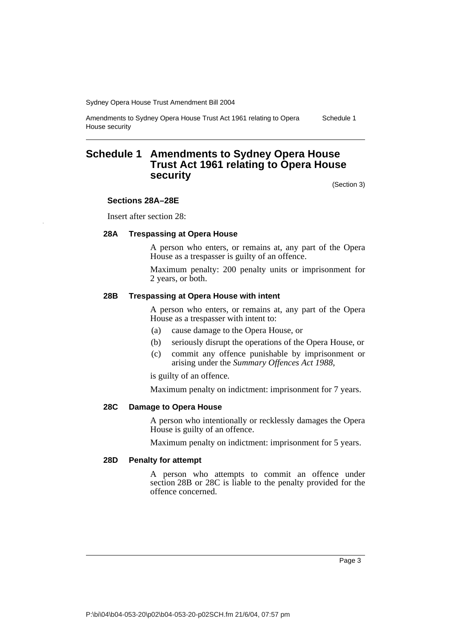Amendments to Sydney Opera House Trust Act 1961 relating to Opera House security Schedule 1

# **Schedule 1 Amendments to Sydney Opera House Trust Act 1961 relating to Opera House security**

(Section 3)

### **Sections 28A–28E**

Insert after section 28:

#### **28A Trespassing at Opera House**

A person who enters, or remains at, any part of the Opera House as a trespasser is guilty of an offence.

Maximum penalty: 200 penalty units or imprisonment for 2 years, or both.

### **28B Trespassing at Opera House with intent**

A person who enters, or remains at, any part of the Opera House as a trespasser with intent to:

- (a) cause damage to the Opera House, or
- (b) seriously disrupt the operations of the Opera House, or
- (c) commit any offence punishable by imprisonment or arising under the *Summary Offences Act 1988*,

is guilty of an offence.

Maximum penalty on indictment: imprisonment for 7 years.

### **28C Damage to Opera House**

A person who intentionally or recklessly damages the Opera House is guilty of an offence.

Maximum penalty on indictment: imprisonment for 5 years.

#### **28D Penalty for attempt**

A person who attempts to commit an offence under section 28B or 28C is liable to the penalty provided for the offence concerned.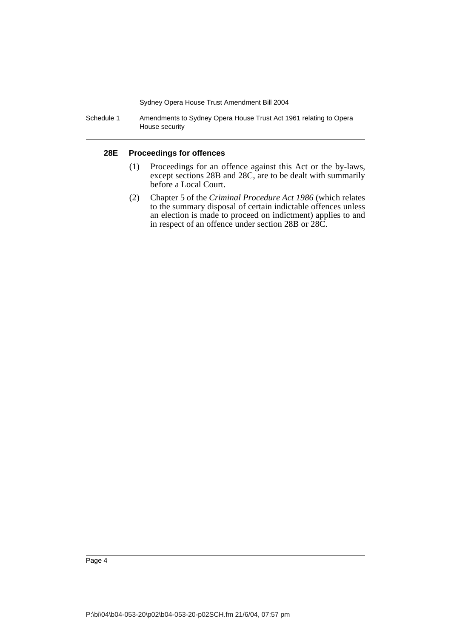Schedule 1 Amendments to Sydney Opera House Trust Act 1961 relating to Opera House security

### **28E Proceedings for offences**

- (1) Proceedings for an offence against this Act or the by-laws, except sections 28B and 28C, are to be dealt with summarily before a Local Court.
- (2) Chapter 5 of the *Criminal Procedure Act 1986* (which relates to the summary disposal of certain indictable offences unless an election is made to proceed on indictment) applies to and in respect of an offence under section 28B or 28C.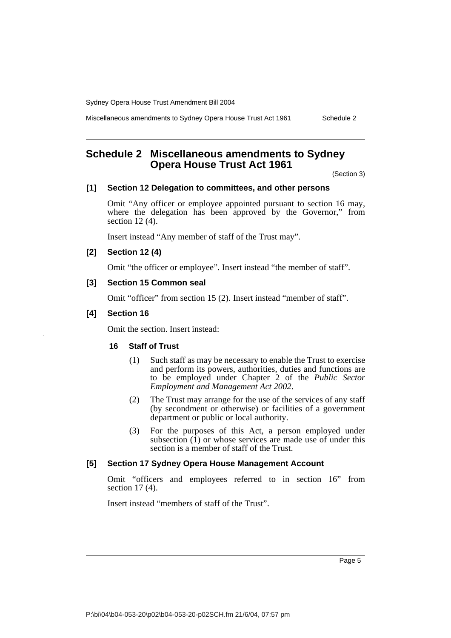Miscellaneous amendments to Sydney Opera House Trust Act 1961 Schedule 2

# **Schedule 2 Miscellaneous amendments to Sydney Opera House Trust Act 1961**

(Section 3)

### **[1] Section 12 Delegation to committees, and other persons**

Omit "Any officer or employee appointed pursuant to section 16 may, where the delegation has been approved by the Governor," from section 12 (4).

Insert instead "Any member of staff of the Trust may".

### **[2] Section 12 (4)**

Omit "the officer or employee". Insert instead "the member of staff".

#### **[3] Section 15 Common seal**

Omit "officer" from section 15 (2). Insert instead "member of staff".

### **[4] Section 16**

Omit the section. Insert instead:

#### **16 Staff of Trust**

- (1) Such staff as may be necessary to enable the Trust to exercise and perform its powers, authorities, duties and functions are to be employed under Chapter 2 of the *Public Sector Employment and Management Act 2002*.
- (2) The Trust may arrange for the use of the services of any staff (by secondment or otherwise) or facilities of a government department or public or local authority.
- (3) For the purposes of this Act, a person employed under subsection  $(1)$  or whose services are made use of under this section is a member of staff of the Trust.

### **[5] Section 17 Sydney Opera House Management Account**

Omit "officers and employees referred to in section 16" from section 17 (4).

Insert instead "members of staff of the Trust".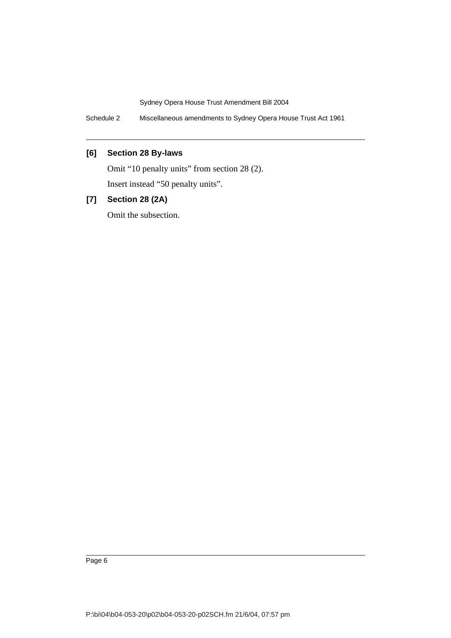Schedule 2 Miscellaneous amendments to Sydney Opera House Trust Act 1961

### **[6] Section 28 By-laws**

Omit "10 penalty units" from section 28 (2).

Insert instead "50 penalty units".

## **[7] Section 28 (2A)**

Omit the subsection.

Page 6